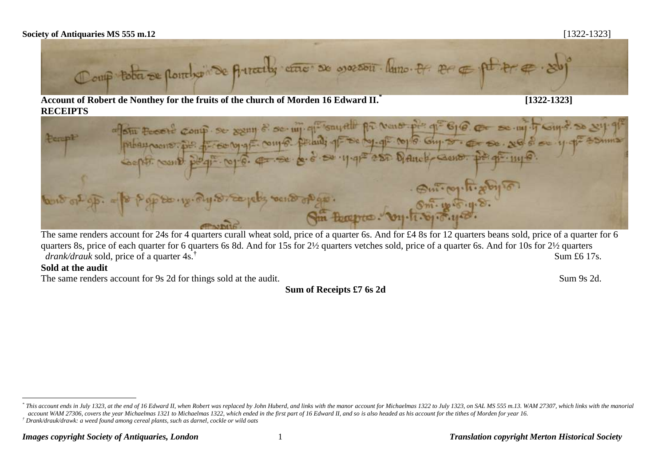## **Society of Antiquaries MS 555 m.12** [1322-1323]



**Account of Robert de Nonthey for the fruits of the church of Morden 16 Edward II.\* RECEIPTS**

afstu Footle comp. Se sam & se wj. que souvelle pa veno ple que 616 prhampoons. por processing to comp. perants of se day of confo Guy so. Perept Coopti None pogi Nop 6. 4. Se 11-91 280 Dance Gene.

The same renders account for 24s for 4 quarters curall wheat sold, price of a quarter 6s. And for £4 8s for 12 quarters beans sold, price of a quarter for 6 quarters 8s, price of each quarter for 6 quarters 6s 8d. And for 15s for 2½ quarters vetches sold, price of a quarter 6s. And for 10s for 2½ quarters *drank/drauk* sold, price of a quarter 4s.**†** Sum £6 17s.

## **Sold at the audit**

 $\overline{a}$ 

The same renders account for 9s 2d for things sold at the audit. Sum 9s 2d.

**Sum of Receipts £7 6s 2d**

<sup>\*</sup> This account ends in July 1323, at the end of 16 Edward II, when Robert was replaced by John Huberd, and links with the manor account for Michaelmas 1322 to July 1323, on SAL MS 555 m.13. WAM 27307, which links with the *account WAM 27306, covers the year Michaelmas 1321 to Michaelmas 1322, which ended in the first part of 16 Edward II, and so is also headed as his account for the tithes of Morden for year 16. † Drank/drauk/drawk: a weed found among cereal plants, such as darnel, cockle or wild oats*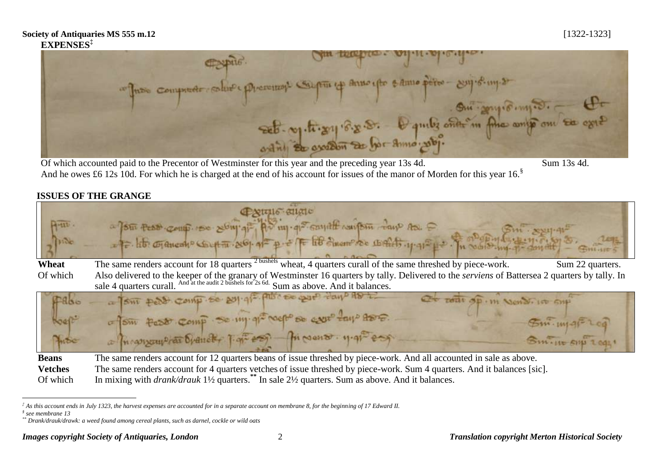## **Society of Antiquaries MS 555 m.12** [1322-1323] **EXPENSES‡**



And he owes £6 12s 10d. For which he is charged at the end of his account for issues of the manor of Morden for this year 16.<sup>§</sup>

## **ISSUES OF THE GRANGE**

| $A - uv -$     | $P$ $X$ $U$ $I$ $I$ $C$ $U$ $I$ $I$ $C$<br>a four test comp rese song qi Ad my que cannot conform day As.<br>$5m \cdot x$<br>- It Gancano Coupture 20 4 = p. = TE EB durant co BALAS . 11-91= p. - Tu modisting of district |
|----------------|-----------------------------------------------------------------------------------------------------------------------------------------------------------------------------------------------------------------------------|
| Wheat          | 2 bushels<br>wheat, 4 quarters curall of the same threshed by piece-work.<br>The same renders account for 18 quarters<br>Sum 22 quarters.                                                                                   |
| Of which       | Also delivered to the keeper of the granary of Westminster 16 quarters by tally. Delivered to the serviens of Battersea 2 quarters by tally. In                                                                             |
|                | sale 4 quarters curall. And at the audit 2 bushels for 2s 6d. Sum as above. And it balances.                                                                                                                                |
| PRISE<br>Hoest | a sur pero comp se por qui pus se pur tay AD in<br>Of pour op.m Nondino sup<br>of Sim fast comp. So my gracepo so ever tays tono.                                                                                           |
|                | $\mathfrak{Sm}_{\cdot \mathfrak{m} \lvert \mathcal{A} \rvert}$ Leg<br>a manyouplar branch T. gr. 200 fi Nous . 11.91 con                                                                                                    |
| moc            | Sm. It SHI LOOK                                                                                                                                                                                                             |

**Beans** The same renders account for 12 quarters beans of issue threshed by piece-work. And all accounted in sale as above. **Vetches** The same renders account for 4 quarters vetches of issue threshed by piece-work. Sum 4 quarters. And it balances [sic]. Of which In mixing with *drank/drauk* 1<sup>1</sup>/<sub>2</sub> quarters.<sup>\*\*</sup> In sale 2<sup>1</sup>/<sub>2</sub> quarters. Sum as above. And it balances.

 $\overline{a}$ 

*<sup>‡</sup> As this account ends in July 1323, the harvest expenses are accounted for in a separate account on membrane 8, for the beginning of 17 Edward II.*

*<sup>§</sup> see membrane 13*

*<sup>\*\*</sup> Drank/drauk/drawk: a weed found among cereal plants, such as darnel, cockle or wild oats*